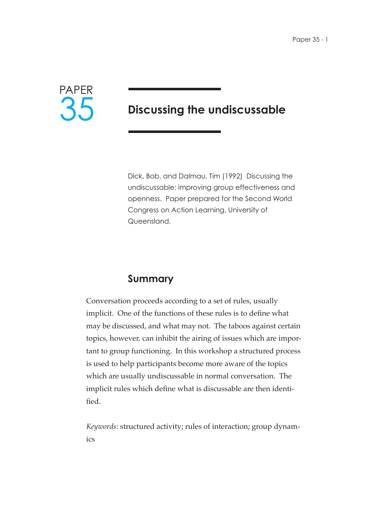

# **Discussing the undiscussable**

Dick, Bob, and Dalmau, Tim (1992) Discussing the undiscussable: improving group effectiveness and openness. Paper prepared for the Second World Congress on Action Learning, University of Queensland.

### **Summary**

Conversation proceeds according to a set of rules, usually implicit. One of the functions of these rules is to define what may be discussed, and what may not. The taboos against certain topics, however, can inhibit the airing of issues which are important to group functioning. In this workshop a structured process is used to help participants become more aware of the topics which are usually undiscussable in normal conversation. The implicit rules which define what is discussable are then identified.

*Keywords*: structured activity; rules of interaction; group dynamics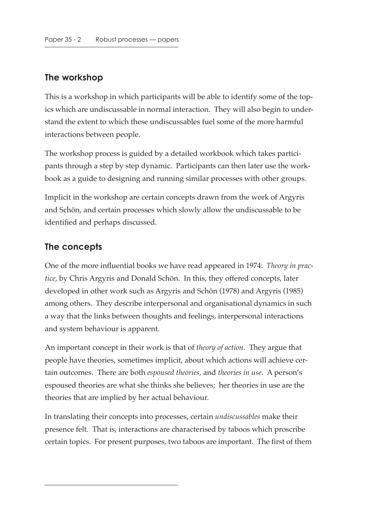## **The workshop**

This is a workshop in which participants will be able to identify some of the topics which are undiscussable in normal interaction. They will also begin to understand the extent to which these undiscussables fuel some of the more harmful interactions between people.

The workshop process is guided by a detailed workbook which takes participants through a step by step dynamic. Participants can then later use the workbook as a guide to designing and running similar processes with other groups.

Implicit in the workshop are certain concepts drawn from the work of Argyris and Schön, and certain processes which slowly allow the undiscussable to be identified and perhaps discussed.

#### **The concepts**

One of the more influential books we have read appeared in 1974: *Theory in practice*, by Chris Argyris and Donald Schön. In this, they offered concepts, later developed in other work such as Argyris and Schön (1978) and Argyris (1985) among others. They describe interpersonal and organisational dynamics in such a way that the links between thoughts and feelings, interpersonal interactions and system behaviour is apparent.

An important concept in their work is that of *theory of action*. They argue that people have theories, sometimes implicit, about which actions will achieve certain outcomes. There are both *espoused theories*, and *theories in use*. A person's espoused theories are what she thinks she believes; her theories in use are the theories that are implied by her actual behaviour.

In translating their concepts into processes, certain *undiscussables* make their presence felt. That is, interactions are characterised by taboos which proscribe certain topics. For present purposes, two taboos are important. The first of them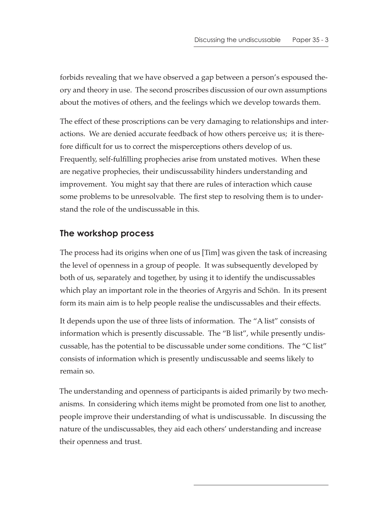forbids revealing that we have observed a gap between a person's espoused theory and theory in use. The second proscribes discussion of our own assumptions about the motives of others, and the feelings which we develop towards them.

The effect of these proscriptions can be very damaging to relationships and interactions. We are denied accurate feedback of how others perceive us; it is therefore difficult for us to correct the misperceptions others develop of us. Frequently, self-fulfilling prophecies arise from unstated motives. When these are negative prophecies, their undiscussability hinders understanding and improvement. You might say that there are rules of interaction which cause some problems to be unresolvable. The first step to resolving them is to understand the role of the undiscussable in this.

#### **The workshop process**

The process had its origins when one of us [Tim] was given the task of increasing the level of openness in a group of people. It was subsequently developed by both of us, separately and together, by using it to identify the undiscussables which play an important role in the theories of Argyris and Schön. In its present form its main aim is to help people realise the undiscussables and their effects.

It depends upon the use of three lists of information. The "A list" consists of information which is presently discussable. The "B list", while presently undiscussable, has the potential to be discussable under some conditions. The "C list" consists of information which is presently undiscussable and seems likely to remain so.

The understanding and openness of participants is aided primarily by two mechanisms. In considering which items might be promoted from one list to another, people improve their understanding of what is undiscussable. In discussing the nature of the undiscussables, they aid each others' understanding and increase their openness and trust.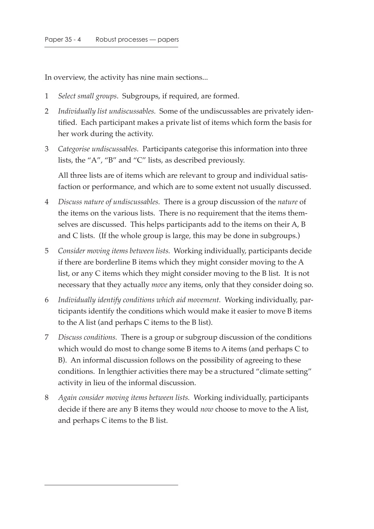In overview, the activity has nine main sections...

- 1 *Select small groups*. Subgroups, if required, are formed.
- 2 *Individually list undiscussables.* Some of the undiscussables are privately identified. Each participant makes a private list of items which form the basis for her work during the activity.
- 3 *Categorise undiscussables.* Participants categorise this information into three lists, the "A", "B" and "C" lists, as described previously.

All three lists are of items which are relevant to group and individual satisfaction or performance, and which are to some extent not usually discussed.

- 4 *Discuss nature of undiscussables.* There is a group discussion of the *nature* of the items on the various lists. There is no requirement that the items themselves are discussed. This helps participants add to the items on their A, B and C lists. (If the whole group is large, this may be done in subgroups.)
- 5 *Consider moving items between lists.* Working individually, participants decide if there are borderline B items which they might consider moving to the A list, or any C items which they might consider moving to the B list. It is not necessary that they actually *move* any items, only that they consider doing so.
- 6 *Individually identify conditions which aid movement.* Working individually, participants identify the conditions which would make it easier to move B items to the A list (and perhaps C items to the B list).
- 7 *Discuss conditions.* There is a group or subgroup discussion of the conditions which would do most to change some B items to A items (and perhaps C to B). An informal discussion follows on the possibility of agreeing to these conditions. In lengthier activities there may be a structured "climate setting" activity in lieu of the informal discussion.
- 8 *Again consider moving items between lists.* Working individually, participants decide if there are any B items they would *now* choose to move to the A list, and perhaps C items to the B list.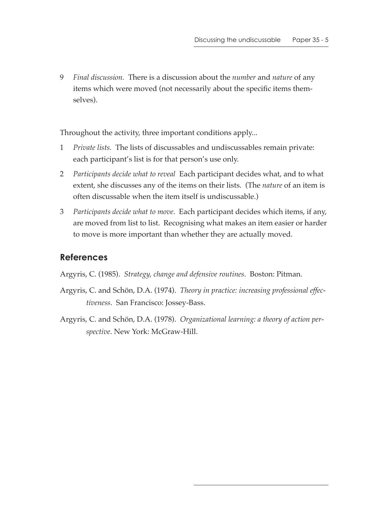9 *Final discussion.* There is a discussion about the *number* and *nature* of any items which were moved (not necessarily about the specific items themselves).

Throughout the activity, three important conditions apply...

- 1 *Private lists.* The lists of discussables and undiscussables remain private: each participant's list is for that person's use only.
- 2 *Participants decide what to reveal* Each participant decides what, and to what extent, she discusses any of the items on their lists. (The *nature* of an item is often discussable when the item itself is undiscussable.)
- 3 *Participants decide what to move*. Each participant decides which items, if any, are moved from list to list. Recognising what makes an item easier or harder to move is more important than whether they are actually moved.

#### **References**

Argyris, C. (1985). *Strategy, change and defensive routines*. Boston: Pitman.

- Argyris, C. and Schön, D.A. (1974). *Theory in practice: increasing professional effectiveness*. San Francisco: Jossey-Bass.
- Argyris, C. and Schön, D.A. (1978). *Organizational learning: a theory of action perspective*. New York: McGraw-Hill.